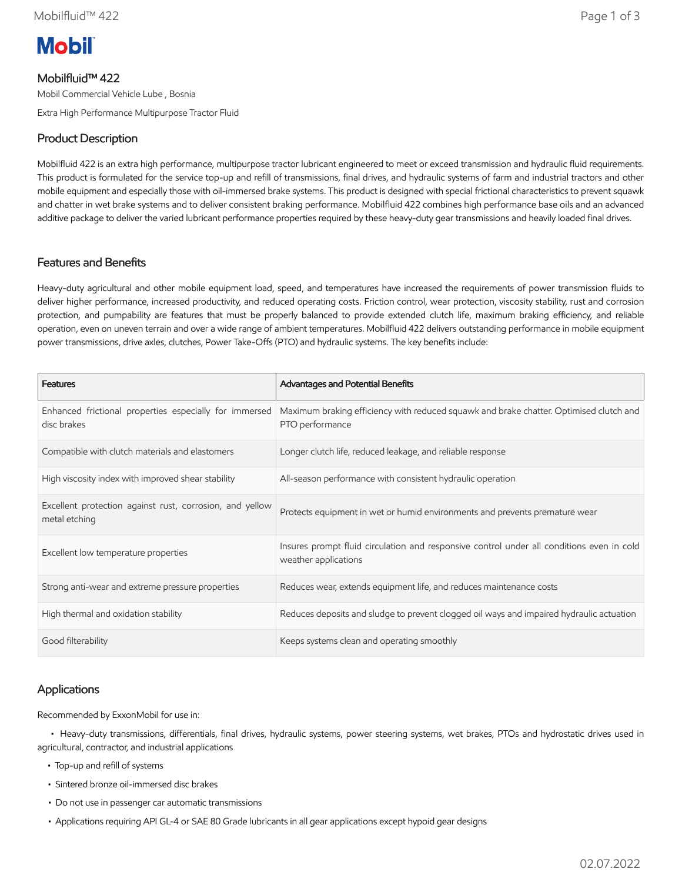# **Mobil**

# Mobilfluid™ 422

Mobil Commercial Vehicle Lube , Bosnia

Extra High Performance Multipurpose Tractor Fluid

# Product Description

Mobilfluid 422 is an extra high performance, multipurpose tractor lubricant engineered to meet or exceed transmission and hydraulic fluid requirements. This product is formulated for the service top-up and refill of transmissions, final drives, and hydraulic systems of farm and industrial tractors and other mobile equipment and especially those with oil-immersed brake systems. This product is designed with special frictional characteristics to prevent squawk and chatter in wet brake systems and to deliver consistent braking performance. Mobilfluid 422 combines high performance base oils and an advanced additive package to deliver the varied lubricant performance properties required by these heavy-duty gear transmissions and heavily loaded final drives.

#### Features and Benefits

Heavy-duty agricultural and other mobile equipment load, speed, and temperatures have increased the requirements of power transmission fluids to deliver higher performance, increased productivity, and reduced operating costs. Friction control, wear protection, viscosity stability, rust and corrosion protection, and pumpability are features that must be properly balanced to provide extended clutch life, maximum braking efficiency, and reliable operation, even on uneven terrain and over a wide range of ambient temperatures. Mobilfluid 422 delivers outstanding performance in mobile equipment power transmissions, drive axles, clutches, Power Take-Offs (PTO) and hydraulic systems. The key benefits include:

| <b>Features</b>                                                           | <b>Advantages and Potential Benefits</b>                                                                          |
|---------------------------------------------------------------------------|-------------------------------------------------------------------------------------------------------------------|
| Enhanced frictional properties especially for immersed<br>disc brakes     | Maximum braking efficiency with reduced squawk and brake chatter. Optimised clutch and<br>PTO performance         |
| Compatible with clutch materials and elastomers                           | Longer clutch life, reduced leakage, and reliable response                                                        |
| High viscosity index with improved shear stability                        | All-season performance with consistent hydraulic operation                                                        |
| Excellent protection against rust, corrosion, and yellow<br>metal etching | Protects equipment in wet or humid environments and prevents premature wear                                       |
| Excellent low temperature properties                                      | Insures prompt fluid circulation and responsive control under all conditions even in cold<br>weather applications |
| Strong anti-wear and extreme pressure properties                          | Reduces wear, extends equipment life, and reduces maintenance costs                                               |
| High thermal and oxidation stability                                      | Reduces deposits and sludge to prevent clogged oil ways and impaired hydraulic actuation                          |
| Good filterability                                                        | Keeps systems clean and operating smoothly                                                                        |

## Applications

Recommended by ExxonMobil for use in:

 • Heavy-duty transmissions, differentials, final drives, hydraulic systems, power steering systems, wet brakes, PTOs and hydrostatic drives used in agricultural, contractor, and industrial applications

- Top-up and refill of systems
- Sintered bronze oil-immersed disc brakes
- Do not use in passenger car automatic transmissions
- Applications requiring API GL-4 or SAE 80 Grade lubricants in all gear applications except hypoid gear designs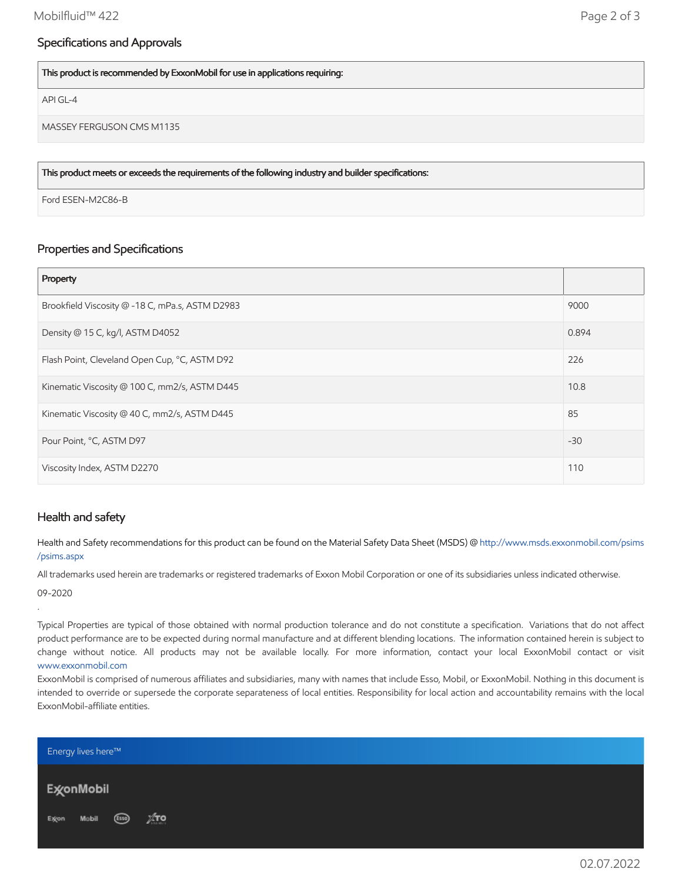## Specifications and Approvals

This product is recommended by ExxonMobil for use in applications requiring:

API GL-4

MASSEY FERGUSON CMS M1135

This product meets or exceeds the requirements of the following industry and builder specifications:

Ford ESEN-M2C86-B

# Properties and Specifications

| Property                                        |       |
|-------------------------------------------------|-------|
| Brookfield Viscosity @ -18 C, mPa.s, ASTM D2983 | 9000  |
| Density @ 15 C, kg/l, ASTM D4052                | 0.894 |
| Flash Point, Cleveland Open Cup, °C, ASTM D92   | 226   |
| Kinematic Viscosity @ 100 C, mm2/s, ASTM D445   | 10.8  |
| Kinematic Viscosity @ 40 C, mm2/s, ASTM D445    | 85    |
| Pour Point, °C, ASTM D97                        | $-30$ |
| Viscosity Index, ASTM D2270                     | 110   |

#### Health and safety

Health and Safety recommendations for this product can be found on the Material Safety Data Sheet (MSDS) @ [http://www.msds.exxonmobil.com/psims](http://www.msds.exxonmobil.com/psims/psims.aspx) /psims.aspx

All trademarks used herein are trademarks or registered trademarks of Exxon Mobil Corporation or one of its subsidiaries unless indicated otherwise. 09-2020

.

Typical Properties are typical of those obtained with normal production tolerance and do not constitute a specification. Variations that do not affect product performance are to be expected during normal manufacture and at different blending locations. The information contained herein is subject to change without notice. All products may not be available locally. For more information, contact your local ExxonMobil contact or visit [www.exxonmobil.com](http://www.exxonmobil.com/)

ExxonMobil is comprised of numerous affiliates and subsidiaries, many with names that include Esso, Mobil, or ExxonMobil. Nothing in this document is intended to override or supersede the corporate separateness of local entities. Responsibility for local action and accountability remains with the local ExxonMobil-affiliate entities.